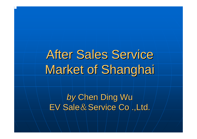# **After Sales Service** Market of Shanghai

by Chen Ding Wu EV Sale & Service Co/.,Ltd.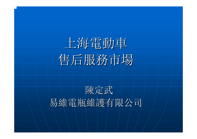

### 陳定武 易維電瓶維護有限公司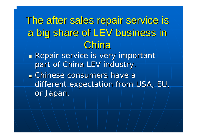The after sales repair service is The after sales repair service is a big share of LEV business in **China** 

**Repair service is very important** part of China LEV industry.

**East Chinese consumers have a** different expectation from USA, EU, or Japan.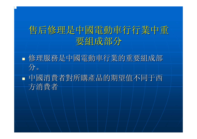#### 售后修理是中國電動車行行業中重 要組成部分

■ 修理服務是中國電動車行業的重要組成部 分。

 中國消費者對所購產品的期望值不同于西 中國消費者對所購產品的期望值不同于西 方消費者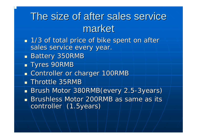### The size of after sales service market

- **1/3 of total price of bike spent on after** sales service every year.
- $\overline{\phantom{a}}$ **Battery 350RMB**
- Tyres 90RMB
- $\mathbb{R}^2$ **Example Controller or charger 100RMB**
- $\blacksquare$  Throttle 35RMB

 $\overline{\phantom{a}}$ ■ Brush Motor 380RMB(every 2.5-3years) **Brushless Motor 200RMB as same as its Brushless Motor 200RMB as same as its and as its and as its and as its a** controller (1.5years)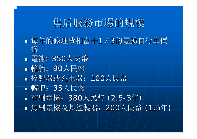### 售后服務市場的規模 售后服務市場的規模

■ 每年的修理費相當于1/3的電動自行車價 格

 電池: 350人民幣 輪胎:90人民幣 控製器或充電器: 控製器或充電器:100人民幣 轉把:35人民幣 ■ 有刷電機: 380人民幣 (2.5 --3年) ■無刷電機及其控製器: 200人民幣 (1.5年)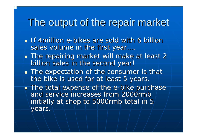#### The output of the repair market

- $\blacksquare$  If 4million e-bikes are sold with 6 billion sales volume in the first year….
- $\overline{\phantom{a}}$  $\blacksquare$  The repairing market will make at least 2 billion sales in the second year!
- $\blacksquare$  The expectation of the consumer is that the bike is used for at least 5 years.
- $\blacksquare$  The total expense of the e-bike purchase and service increases from 2000rmb and service increases from 2000rmb initially at shop to 5000rmb total in 5 years.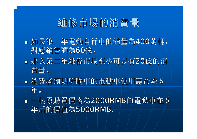### 維修市場的消費量

- 如果第一年電動自行車的銷量為400萬輛, 對應銷售額為60億,
- 那么第二年維修市場至少可以有20億的消 費量。
- 消費者預期所購車的電動車使用壽命為5 年。
- ■一輛原購買價格為2000RMB的電動車在5 年后的價值為5000RMB 。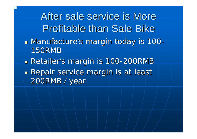After sale service is More **Profitable than Sale Bike ■ Manufacture's margin today is 100** -150RMB **Retailer's margin is 100-200RMB Repair service margin is at least** 200RMB / year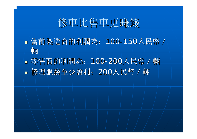### 修車比售車更賺錢 修車比售車更賺錢

■當前製造商的利潤為: 100-150人民幣 / 輛

■ 零售商的利潤為: 100-200人民幣 / 輛 ■ 修理服務至少盈利: 200人民幣 / 輛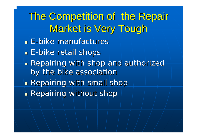The Competition of the Repair Market is Very Tough Market is Very Tough

- **E**-bike manufactures
- **E**-bike retail shops
- **Repairing with shop and authorized** by the bike association
- $\blacksquare$  Repairing with small shop
- $\blacksquare$  Repairing without shop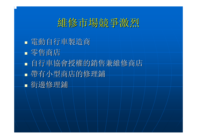### 維修市場競爭激烈

 電動自行車製造商 電動自行車製造商 零售商店 ■ 自行車協會授權的銷售兼維修商店 ■ 帶有小型商店的修理鋪 街邊修理鋪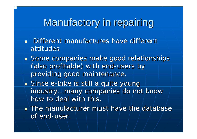### Manufactory in repairing

- **Different manufactures have different manufactures have different** attitudes
- $\mathbb{R}^2$ **Some companies make good relationships** (also profitable) with end-users by providing good maintenance.
- **\_ Since e-bike is still a quite young** industry…many companies do not know how to deal with this.
- $\blacksquare$  The manufacturer must have the database of end-user.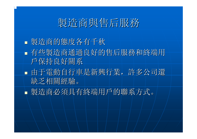### 製造商與售后服務 製造商與售后服務

#### 製造商的態度各有千秋 製造商的態度各有千秋 ■ 有些製造商通過良好的售后服務和終端用 戶保持良好關系 戶保持良好關系 由于電動自行車是新興行業,許多公司還 由于電動自行車是新興行業,許多公司還 缺乏相關經驗。 缺乏相關經驗。 製造商必須具有終端用戶的聯系方式。 製造商必須具有終端用戶的聯系方式。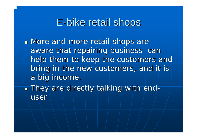#### E-bike retail shops

- **Nore and more retail shops are** aware that repairing business can help them to keep the customers and bring in the new customers, and it is a big income.
- $\blacksquare$  They are directly talking with enduser.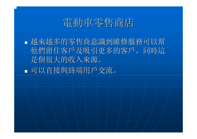### 電動車零售商店 電動車零售商店

■越來越多的零售商意識到維修服務可以幫 他們留住客戶及吸引更多的客戶。同時這 他們留住客戶及吸引更多的客戶。同時這 是個很大的收入來源。 是個很大的收入來源。 ■ 可以直接與終端用戶交流。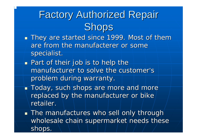## **Factory Authorized Repair Shops**

- $\mathbb{R}^2$ **They are started since 1999. Most of them** are from the manufacterer or some specialist.
- $\overline{\phantom{0}}$  $\blacksquare$  Part of their job is to help the manufacturer to solve the customer's problem during warranty.
- $\overline{\phantom{0}}$  $\blacksquare$  Today, such shops are more and more replaced by the manufacturer or bike retailer.
- $\overline{\phantom{0}}$  $\blacksquare$  The manufactures who sell only through wholesale chain supermarket needs these shops.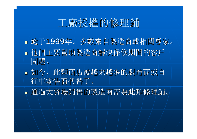#### 工廠授權的修理鋪

- 適于1999年。多數來自製造商或相關專家。 他們主要幫助製造商解決保修期間的客戶 他們主要幫助製造商解決保修期間的客戶 問題。
- 如今, 此類商店被越來越多的製造商或自 行車零售商代替了。
- 通過大賣場銷售的製造商需要此類修理鋪。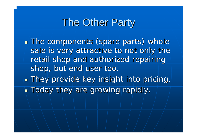#### The Other Party

**The components (spare parts) whole** sale is very attractive to not only the retail shop and authorized repairing shop, but end user too.  $\blacksquare$  They provide key insight into pricing.

**Today they are growing rapidly.**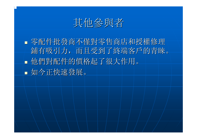其他參與者

■零配件批發商不僅對零售商店和授權修理 鋪有吸引力,而且受到了終端客戶的青睞。 他們對配件的價格起了很大作用。 他們對配件的價格起了很大作用。 如今正快速發展。 如今正快速發展。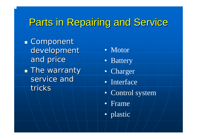### Parts in Repairing and Service

 $\blacksquare$  Component development and price **The warranty** service and tricks

- Motor
- Battery
- Charger
- Interface
- Control system
- Frame
- plastic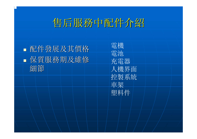### 售后服務中配件介紹

 配件發展及其價格 配件發展及其價格 保質服務期及維修 保質服務期及維修 細節

電機 電池 充電器 人機界面 控製系統 車架 塑料件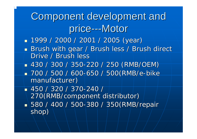### Component development and price---Motor

- 1999 / 2000 / 2001 / 2005 ( 1999 / 2000 / 2001 / 2005 (year)
- $\mathbb{R}^2$ Brush with gear / Brush less / Brush direct Drive / Brush less
- 430 / 300 / 350 430 / 300 / 350 -220 / 250 (RMB/OEM) 220 / 250 (RMB/OEM)
- 700 / 500 / 600-650 / 500(RMB/e-bike manufacturer)
- 450 / 320 / 370 450 / 320 / 370-240 / 270(RMB/component distributor) 270(RMB/component distributor) ■ 580 / 400 / 500-380 / 350(RMB/repair shop)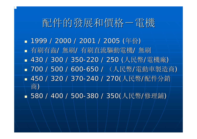### 配件的發展和價格-電機 配件的發展和價格-電機

■ 1999 / 2000 / 2001 / 2005 (年份) ■ 有刷有齒/ 無刷/ 有刷直流驅動電機/ 無刷 ■ 430 / 300 / 350-220 / 250 (人民幣/電機廠) ■ 700 / 500 / 600-650 / (人民幣/電動車製造商) ■ 450 / 320 / 370-240 / 270(人民幣/配件分銷 商)

■ 580 / 400 / 500-380 / 350(人民幣/修理鋪)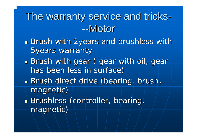### The warranty service and tricks --Motor

- **Brush with 2years and brushless with 1988** 5years warranty
- Brush with gear ( gear with oil, gear has been less in surface)
- **Brush direct drive (bearing, brush,** magnetic)
- Brushless (controller, bearing, magnetic)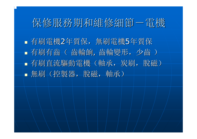### 保修服務期和維修細節一電機

■ 有刷電機2年質保, 無刷電機5年質保 ■ 有刷有齒(齒輪餉,齒輪變形,少齒) ■ 有刷直流驅動電機(軸承,炭刷,脫磁) ■無刷(控製器,脫磁,軸承)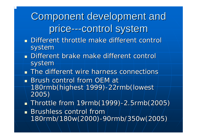### Component development and price---control system

- **Different throttle make different control** system
- **Different brake make different control** system
- **The different wire harness connections**
- **Brush control from OEM at Brush control from OEM at** 180rmb(highest 1999)-22rmb(lowest 2005)
- $\blacksquare\backslash$  Throttle from 19rmb(1999)-2.5rmb(2005)

 $\blacksquare$  Brushless control from  $\blacksquare$ 180rmb/180w(2000) 180rmb/180w(2000) -90rmb/350w(2005) 90rmb/350w(2005)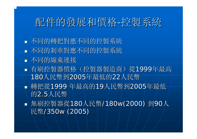### 配件的發展和價格 配件的發展和價格 -控製系統

- 不同的轉把對應不同的控製系統
- 不同的刹車對應不同的控製系統
- 不同的線束連接
- 有刷控製器價格(控製器製造商)從1999年最高 180人民幣到2005年最低的22人民幣 ■ 轉把從1999 年最高的19人民幣到2005年最低 的2.5人民幣
- 無刷控製器從180人民幣/180w(2000) 到90人 民幣/350w (2005)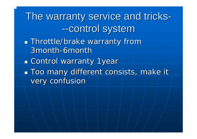The warranty service and tricks --control system

- **Throttle/brake warranty from** 3month -6month
- **ECONTROL WARRANTY 1year**
- **Too many different consists, make it** very confusion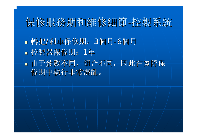#### 保修服務期和維修細節-控製系統

■轉把/刹車保修期: 3個月 - 6個月 ■ 控製器保修期: 1年 由于參數不同,組合不同,因此在實際保 由于參數不同,組合不同,因此在實際保 修期中執行非常混亂。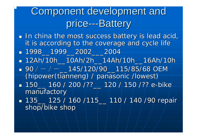### Component development and price---Battery

 $\overline{\phantom{0}}$  $\blacksquare$  In china the most success battery is lead acid,  $\blacksquare$ it is according to the coverage and cycle life 1998\_\_1999\_\_2002\_\_\_2004 1998\_\_1999\_\_2002\_\_\_2004

- 12Ah/10h\_\_10Ah/2h\_\_14Ah/10h\_\_16Ah/10h 12Ah/10h\_\_10Ah/2h\_\_14Ah/10h\_\_16Ah/10h
- $\blacksquare$  90 /  $-$  /  $-\bigsqcup$  145/120/90 $\blacksquare$ 115/85/68 OEM  $\blacksquare$ (hipower (tianneng) / panasonic /lowest)  $\blacksquare$  150\_\_ 160 / 200 /??\_\_ 120 / 150 /?? e-bike manufactory
- 135\_\_ 125 / 160 /115\_\_ 110 / 140 /90 repair shop/bike shop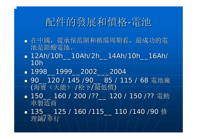### 配件的發展和價格 配件的發展和價格 -電池

- 在中國,從承保范圍和循環周期看,最成功的電 在中國,從承保范圍和循環周期看,最成功的電 池是鉛酸電池。 池是鉛酸電池。
- 12Ah/10h\_\_10Ah/2h\_\_14Ah/10h\_\_16Ah/ Ah/10h\_\_10Ah/2h\_\_14Ah/10h\_\_16Ah/ 10h
- 1998\_\_1999\_\_2002\_\_\_2004 1998\_\_1999\_\_2002\_\_\_2004
- 90\_\_120 / 145 /90\_\_ 85 / 115 / 68 電池廠 (海寶 (天能) /松下/最低價)
- 150\_\160 / 200 /??\_ |120 / 150 /?? /電動 車製造商
- 135\_\_ 125/160 /115\_\_ 110 /140 /90 修 理鋪 /車行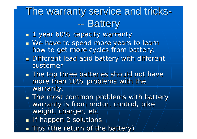#### The warranty service and tricks --- Battery

- $\mathbb{R}^2$  $\textcolor{red}{\blacksquare}$  1 year 60% capacity warranty
- $\mathbb{R}^2$ **Ne have to spend more years to learn** how to get more cycles from battery.
- $\mathbb{R}^2$ **Different lead acid battery with different Little** customer
- $\blacksquare$  The top three batteries should not have more than 10% problems with the warranty.
- $\mathbb{R}^2$  $\blacksquare$  The most common problems with battery warranty is from motor, control, bike weight, charger, etc
- $\blacksquare$  If happen 2 solutions
- $\mathbb{R}^2$ **Tips (the return of the battery)** Tips (the return of the battery)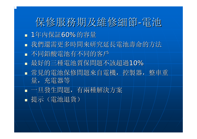保修服務期及維修細節-電池 ■ 1年内保証60%的容量 ■我們還需更多時間來研究延長電池壽命的方法 ■ 不同鉛酸電池有不同的客戶 ■ 最好的三種電池質保問題不該超過10% ■ 常見的電池保修問題來自電機, 控製器, 整車重 量,充電器等 一旦發生問題,有兩種解決方案 一旦發生問題,有兩種解決方案 ■ 提示 (電池退貨)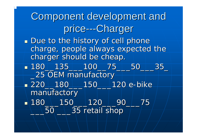Component development and price---Charger  $\blacksquare$  Due to the history of cell phonecharge, people always expected the charge, people always expected the charger should be cheap. 180\_\_135\_\_\_100\_\_75\_\_\_50\_\_\_35\_ 180\_\_135\_\_\_100\_\_75\_\_\_50\_\_\_35\_ \_25 OEM manufactory \_25 OEM manufactory  $\textcolor{red}{\bullet}\textcolor{red}{220\_180\_150\_120}$  e-bike manufactory  $\bullet$  180\_\\_\_150\_\_\_120\_\_\_90\_\_\_75 1  $\overline{50}$   $\overline{\phantom{0}}$  35 retail shop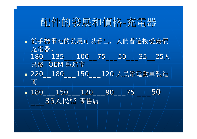### 配件的發展和價格 配件的發展和價格 -充電器

 從手機電池的發展可以看出,人們普遍接受廉價 從手機電池的發展可以看出,人們普遍接受廉價 充電器。 180\_\_135\_\_100\_\_75\_\_50\_\_35\_\_25人 民幣 OEM 製造商 ■ 220\_180\_\_150\_\_120 人民幣電動車製造 商

 180\_\_\_150\_\_\_120\_\_\_90\_\_\_ 180\_\_\_150\_\_\_120\_\_\_90\_\_\_75 \_\_\_50 \_\_\_35人民幣 零售店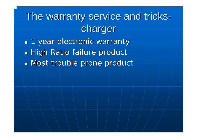### The warranty service and tricks charger

**1** year electronic warranty **High Ratio failure product Most trouble prone product**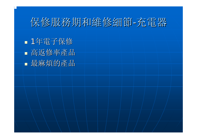### 保修服務期和維修細節-充電器

 1年電子保修 高返修率產品 最麻煩的產品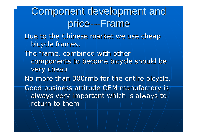### Component development and price---Frame

Due to the Chinese market we use cheap bicycle frames.

The frame, combined with other components to become bicycle should be very cheap

No more than 300rmb for the entire bicycle. *Good business attitude OEM manufactory is Good business attitude OEM manufactory is*  always very important which is always to *return to them return to them*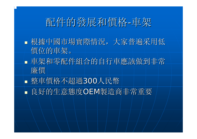### 配件的發展和價格 配件的發展和價格 -車架

- ■根據中國市場實際情況,大家普遍采用低 價位的車架。
- 車架和零配件組合的自行車應該做到非常 廉價
- 整車價格不超過300人民幣
- 良好的生意態度OEM製造商非常重要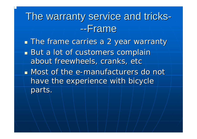### The warranty service and tricks --Frame

**The frame carries a 2 year warranty** But a lot of customers complain about freewheels, cranks, etc **Nost of the e-manufacturers do not** have the experience with bicycle parts.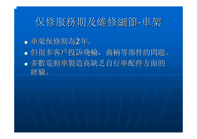### 保修服務期及維修細節-車架

- 車架保修期為 2年。
- 但很多客戶投訴飛輪,曲柄等部件的問題。 但很多客戶投訴飛輪,曲柄等部件的問題。 ■ 多數電動車製造商缺乏自行車配件方面的 經驗。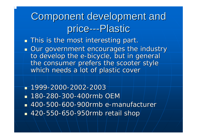### Component development and price---Plastic

 $\overline{\phantom{0}}$  $\blacksquare$  This is the most interesting part.

- $\mathbb{R}^2$ **Our government encourages the industry** to develop the e-bicycle, but in general the consumer prefers the scooter style which needs a lot of plastic cover
- 1999 -2000-2002-2003■ 180-280-300-400rmb OEM ■ 400-500-600-900rmb e-manufacturer ■ 420-550-650-950rmb retail shop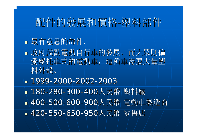### 配件的發展和價格-塑料部件

#### ■ 最有意思的部件.

- 政府鼓勵電動自行車的發展,而大眾則偏 政府鼓勵電動自行車的發展,而大眾則偏 愛摩托車式的電動車,這種車需要大量塑 料外殼。
- 1999 -2000 -2002 -2003 ■ 180-280-300-400人民幣 塑料廠 ■ 400-500-600-900人民幣 電動車製造商 ■ 420-550-650-950人民幣 零售店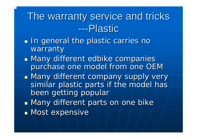### The warranty service and tricks ---Plastic

- $\blacksquare$  In general the plastic carries no warranty
- **Nany different edbike companies** purchase one model from one OEM
- **Nany different company supply very Internal Company** similar plastic parts if the model has been getting popular
- $\blacksquare$  Many different parts on one bike
- $\blacksquare$  Most expensive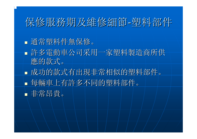### 保修服務期及維修細節-塑料部件

- 通常塑料件無保修。 通常塑料件無保修。
- 許多電動車公司采用一家塑料製造商所供 應的款式。
- 成功的款式有出現非常相似的塑料部件。 成功的款式有出現非常相似的塑料部件。 ■ 每輛車上有許多不同的塑料部件。 非常昂貴。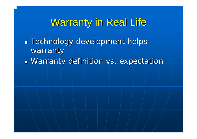#### Warranty in Real Life

 Technology development helps Technology development helps warranty **Narranty definition vs. expectation warranty definition**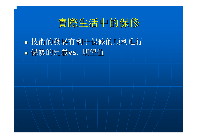

■ 技術的發展有利于保修的順利進行 保修的定義vs. 期望值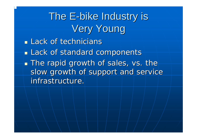## The E-bike Industry is **Very Young**

**Lack of technicians** 

**Lack of standard components** 

**The rapid growth of sales, vs. the** slow growth of support and service infrastructure.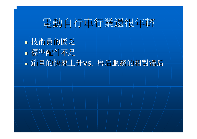### 電動自行車行業還很年輕

 技術員的匱乏 標準配件不足 ■銷量的快速上升vs. 售后服務的相對滯后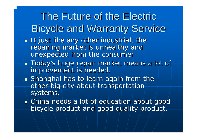The Future of the Electric **Bicycle and Warranty Service**  $\overline{\phantom{0}}$  $\blacksquare$  It just like any other industrial, the repairing market is unhealthy and unexpected from the consumer  $\overline{\phantom{0}}$  $\blacksquare$  Today's huge repair market means a lot of improvement is needed.  $\mathbb{R}^2$  $\blacksquare$  Shanghai has to learn again from the other big city about transportation

systems.

 $\mathbb{R}^2$  $\blacksquare$  China needs a lot of education about good bicycle product and good quality product.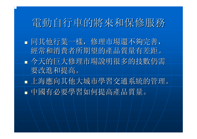### 電動自行車的將來和保修服務

- 同其他行業一樣,修理市場還不夠完善, 同其他行業一樣,修理市場還不夠完善, 經常和消費者所期望的產品質量有差距。 今天的巨大修理市場說明很多的技數仍需 今天的巨大修理市場說明很多的技數仍需 要改進和提高。 要改進和提高。
- 上海應向其他大城市學習交通系統的管理。 上海應向其他大城市學習交通系統的管理。 中國有必要學習如何提高產品質量。 中國有必要學習如何提高產品質量。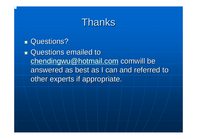#### Thanks

**Questions?** 

**Questions emailed to**  $chemical$ chendingwu@hotmail.com comwill be answered as best as I can and referred to other experts if appropriate.